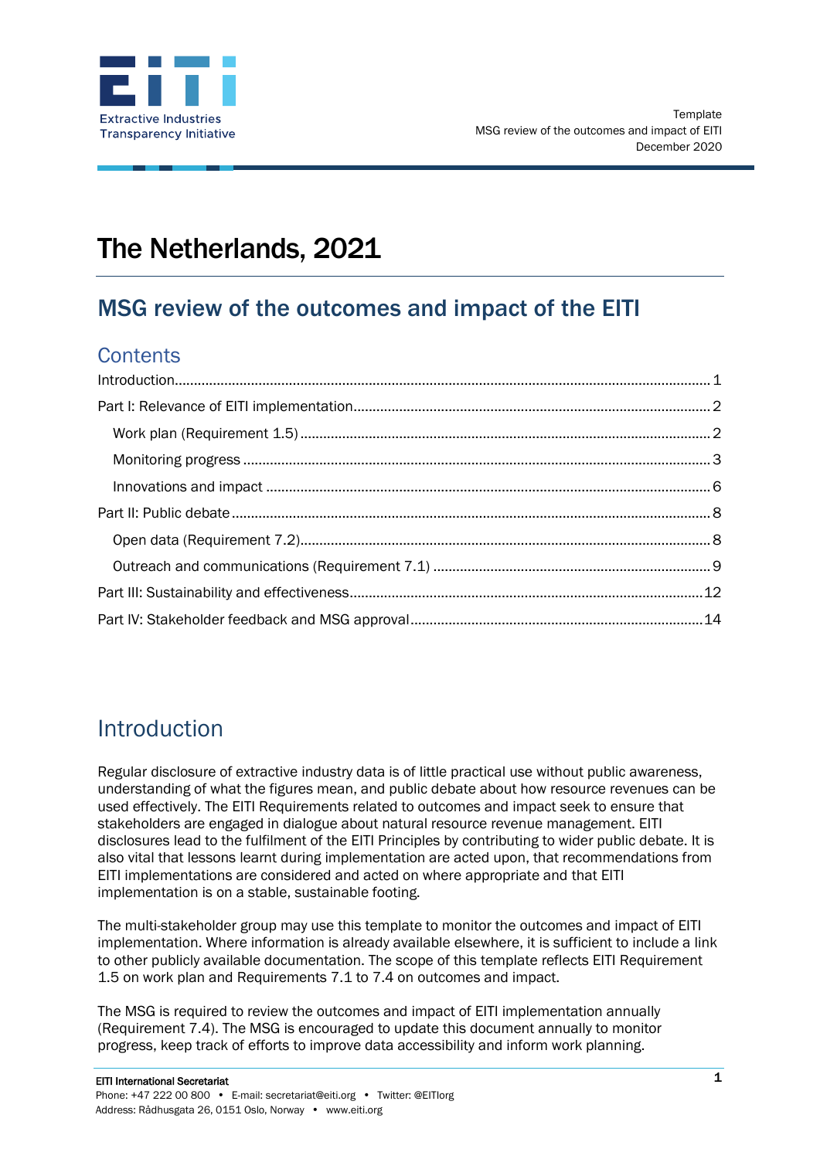

# The Netherlands, 2021

## MSG review of the outcomes and impact of the EITI

### **Contents**

### <span id="page-0-0"></span>Introduction

Regular disclosure of extractive industry data is of little practical use without public awareness, understanding of what the figures mean, and public debate about how resource revenues can be used effectively. The EITI Requirements related to outcomes and impact seek to ensure that stakeholders are engaged in dialogue about natural resource revenue management. EITI disclosures lead to the fulfilment of the EITI Principles by contributing to wider public debate. It is also vital that lessons learnt during implementation are acted upon, that recommendations from EITI implementations are considered and acted on where appropriate and that EITI implementation is on a stable, sustainable footing.

The multi-stakeholder group may use this template to monitor the outcomes and impact of EITI implementation. Where information is already available elsewhere, it is sufficient to include a link to other publicly available documentation. The scope of this template reflects EITI Requirement 1.5 on work plan and Requirements 7.1 to 7.4 on outcomes and impact.

The MSG is required to review the outcomes and impact of EITI implementation annually (Requirement 7.4). The MSG is encouraged to update this document annually to monitor progress, keep track of efforts to improve data accessibility and inform work planning.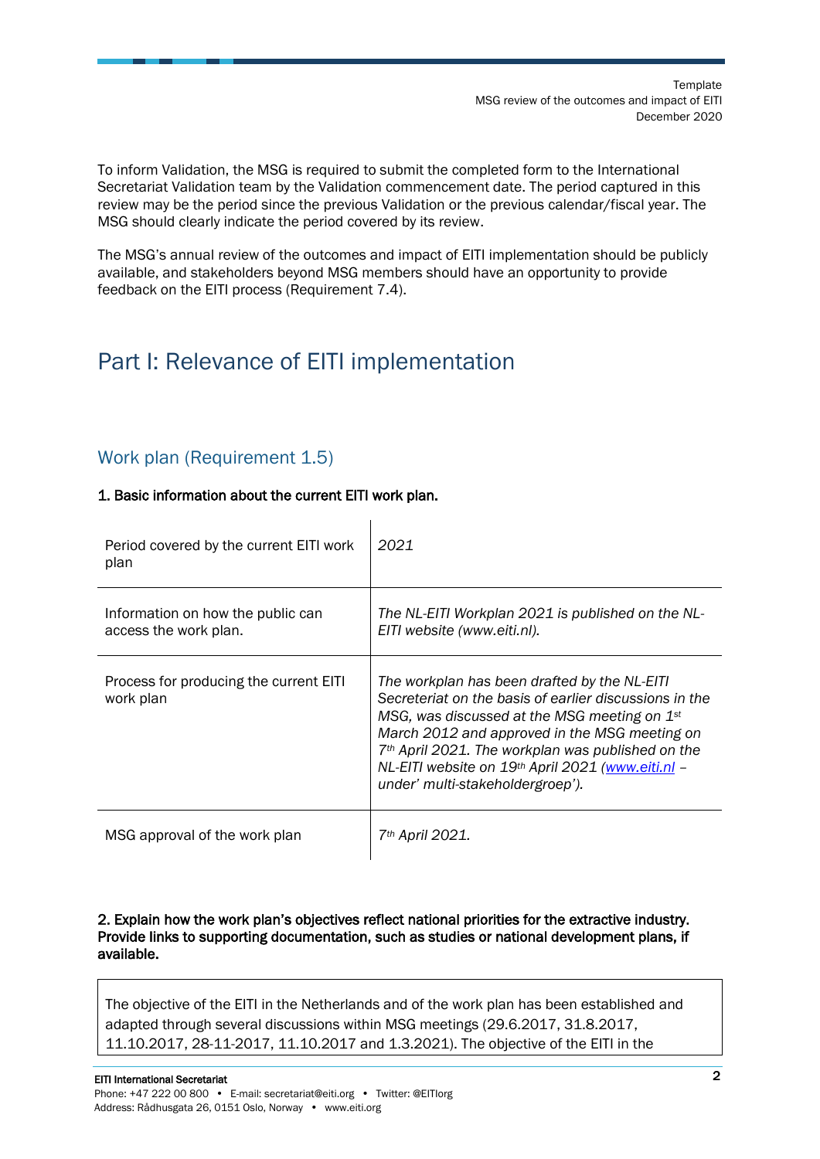To inform Validation, the MSG is required to submit the completed form to the International Secretariat Validation team by the Validation commencement date. The period captured in this review may be the period since the previous Validation or the previous calendar/fiscal year. The MSG should clearly indicate the period covered by its review.

The MSG's annual review of the outcomes and impact of EITI implementation should be publicly available, and stakeholders beyond MSG members should have an opportunity to provide feedback on the EITI process (Requirement 7.4).

## <span id="page-1-0"></span>Part I: Relevance of EITI implementation

### <span id="page-1-1"></span>Work plan (Requirement 1.5)

#### 1. Basic information about the current EITI work plan.

| Period covered by the current EITI work<br>plan            | 2021                                                                                                                                                                                                                                                                                                                                                                |
|------------------------------------------------------------|---------------------------------------------------------------------------------------------------------------------------------------------------------------------------------------------------------------------------------------------------------------------------------------------------------------------------------------------------------------------|
| Information on how the public can<br>access the work plan. | The NL-EITI Workplan 2021 is published on the NL-<br>EITI website (www.eiti.nl).                                                                                                                                                                                                                                                                                    |
| Process for producing the current EITI<br>work plan        | The workplan has been drafted by the NL-EITI<br>Secreteriat on the basis of earlier discussions in the<br>MSG, was discussed at the MSG meeting on $1st$<br>March 2012 and approved in the MSG meeting on<br>7 <sup>th</sup> April 2021. The workplan was published on the<br>NL-EITI website on 19th April 2021 (www.eiti.nl -<br>under' multi-stakeholdergroep'). |
| MSG approval of the work plan                              | 7th April 2021.                                                                                                                                                                                                                                                                                                                                                     |

#### 2. Explain how the work plan's objectives reflect national priorities for the extractive industry. Provide links to supporting documentation, such as studies or national development plans, if available.

The objective of the EITI in the Netherlands and of the work plan has been established and adapted through several discussions within MSG meetings (29.6.2017, 31.8.2017, 11.10.2017, 28-11-2017, 11.10.2017 and 1.3.2021). The objective of the EITI in the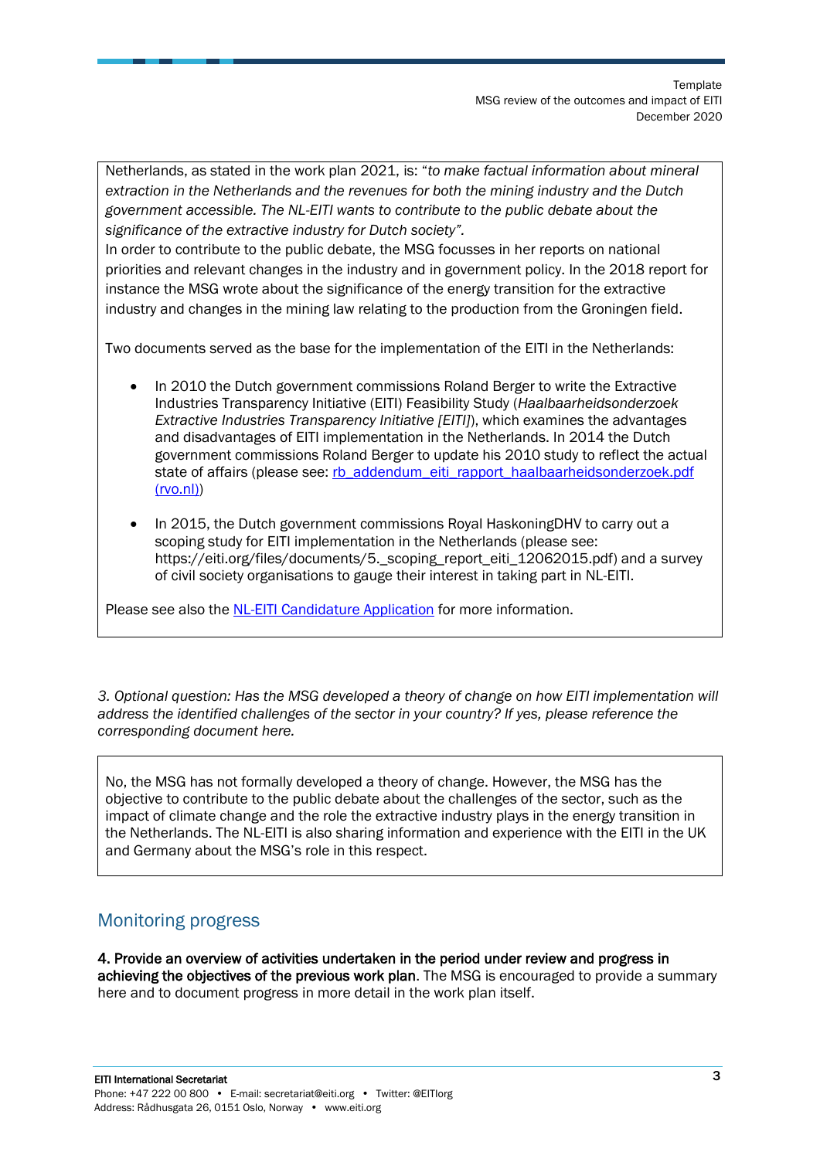Netherlands, as stated in the work plan 2021, is: "*to make factual information about mineral extraction in the Netherlands and the revenues for both the mining industry and the Dutch government accessible. The NL-EITI wants to contribute to the public debate about the significance of the extractive industry for Dutch society".* 

In order to contribute to the public debate, the MSG focusses in her reports on national priorities and relevant changes in the industry and in government policy. In the 2018 report for instance the MSG wrote about the significance of the energy transition for the extractive industry and changes in the mining law relating to the production from the Groningen field.

Two documents served as the base for the implementation of the EITI in the Netherlands:

- In 2010 the Dutch government commissions Roland Berger to write the Extractive Industries Transparency Initiative (EITI) Feasibility Study (*Haalbaarheidsonderzoek Extractive Industries Transparency Initiative [EITI]*), which examines the advantages and disadvantages of EITI implementation in the Netherlands. In 2014 the Dutch government commissions Roland Berger to update his 2010 study to reflect the actual state of affairs (please see: rb\_addendum\_eiti\_rapport\_haalbaarheidsonderzoek.pdf [\(rvo.nl\)\)](https://www.rvo.nl/sites/default/files/2018/06/rb_addendum_eiti_rapport_haalbaarheidsonderzoek.pdf)
- In 2015, the Dutch government commissions Royal HaskoningDHV to carry out a scoping study for EITI implementation in the Netherlands (please see: https://eiti.org/files/documents[/5.\\_scoping\\_report\\_eiti\\_12062015.pdf\)](https://eiti.org/files/documents/5._scoping_report_eiti_12062015.pdf) and a survey of civil society organisations to gauge their interest in taking part in NL-EITI.

Please see also the [NL-EITI Candidature Application](https://eiti.org/document/netherlands-candidature-application) for more information.

*3. Optional question: Has the MSG developed a theory of change on how EITI implementation will address the identified challenges of the sector in your country? If yes, please reference the corresponding document here.*

No, the MSG has not formally developed a theory of change. However, the MSG has the objective to contribute to the public debate about the challenges of the sector, such as the impact of climate change and the role the extractive industry plays in the energy transition in the Netherlands. The NL-EITI is also sharing information and experience with the EITI in the UK and Germany about the MSG's role in this respect.

### <span id="page-2-0"></span>Monitoring progress

4. Provide an overview of activities undertaken in the period under review and progress in achieving the objectives of the previous work plan. The MSG is encouraged to provide a summary here and to document progress in more detail in the work plan itself.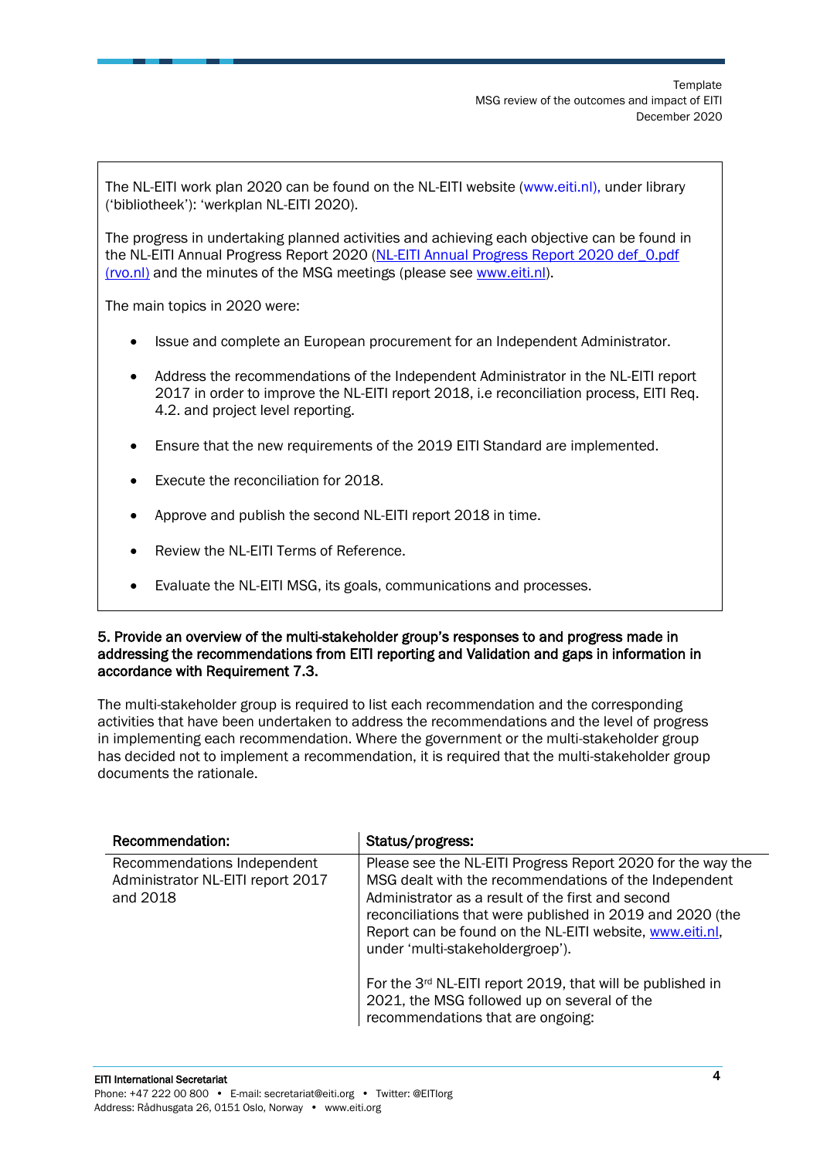The NL-EITI work plan 2020 can be found on the NL-EITI website [\(www.eiti.nl\)](http://www.eiti.nl/), under library ('bibliotheek'): 'werkplan NL-EITI 2020).

The progress in undertaking planned activities and achieving each objective can be found in the NL-EITI Annual Progress Report 2020 [\(NL-EITI Annual Progress Report 2020 def\\_0.pdf](https://www.rvo.nl/sites/default/files/2021/03/NL-EITI%20Annual%20Progress%20Report%202020%20def_0.pdf)  [\(rvo.nl\)](https://www.rvo.nl/sites/default/files/2021/03/NL-EITI%20Annual%20Progress%20Report%202020%20def_0.pdf) and the minutes of the MSG meetings (please see [www.eiti.nl\)](http://www.eiti.nl/).

The main topics in 2020 were:

- Issue and complete an European procurement for an Independent Administrator.
- Address the recommendations of the Independent Administrator in the NL-EITI report 2017 in order to improve the NL-EITI report 2018, i.e reconciliation process, EITI Req. 4.2. and project level reporting.
- Ensure that the new requirements of the 2019 EITI Standard are implemented.
- Execute the reconciliation for 2018.
- Approve and publish the second NL-EITI report 2018 in time.
- Review the NL-EITI Terms of Reference.
- Evaluate the NL-EITI MSG, its goals, communications and processes.

#### 5. Provide an overview of the multi-stakeholder group's responses to and progress made in addressing the recommendations from EITI reporting and Validation and gaps in information in accordance with Requirement 7.3.

The multi-stakeholder group is required to list each recommendation and the corresponding activities that have been undertaken to address the recommendations and the level of progress in implementing each recommendation. Where the government or the multi-stakeholder group has decided not to implement a recommendation, it is required that the multi-stakeholder group documents the rationale.

| Recommendation:                                                              | Status/progress:                                                                                                                                                                                                                                                                                                                                                                                     |
|------------------------------------------------------------------------------|------------------------------------------------------------------------------------------------------------------------------------------------------------------------------------------------------------------------------------------------------------------------------------------------------------------------------------------------------------------------------------------------------|
| Recommendations Independent<br>Administrator NL-EITI report 2017<br>and 2018 | Please see the NL-EITI Progress Report 2020 for the way the<br>MSG dealt with the recommendations of the Independent<br>Administrator as a result of the first and second<br>reconciliations that were published in 2019 and 2020 (the<br>Report can be found on the NL-EITI website, www.eiti.nl,<br>under 'multi-stakeholdergroep').<br>For the 3rd NL-EITI report 2019, that will be published in |
|                                                                              | 2021, the MSG followed up on several of the<br>recommendations that are ongoing:                                                                                                                                                                                                                                                                                                                     |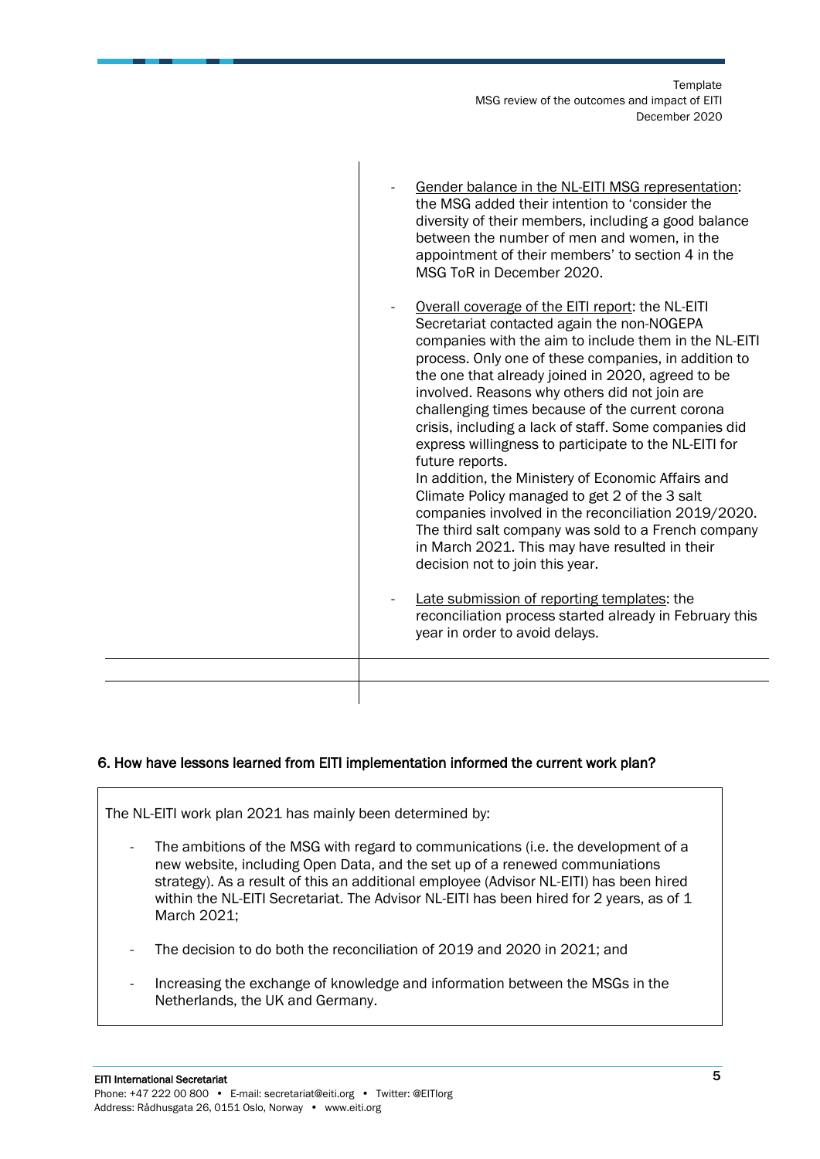**Template** MSG review of the outcomes and impact of EITI December 2020

| Gender balance in the NL-EITI MSG representation:<br>the MSG added their intention to 'consider the<br>diversity of their members, including a good balance<br>between the number of men and women, in the<br>appointment of their members' to section 4 in the<br>MSG ToR in December 2020.                                                                                                                                                                                                                                                                                                                                                                                                                                                                                                                                                                                                                                                                        |
|---------------------------------------------------------------------------------------------------------------------------------------------------------------------------------------------------------------------------------------------------------------------------------------------------------------------------------------------------------------------------------------------------------------------------------------------------------------------------------------------------------------------------------------------------------------------------------------------------------------------------------------------------------------------------------------------------------------------------------------------------------------------------------------------------------------------------------------------------------------------------------------------------------------------------------------------------------------------|
| Overall coverage of the EITI report: the NL-EITI<br>Secretariat contacted again the non-NOGEPA<br>companies with the aim to include them in the NL-EITI<br>process. Only one of these companies, in addition to<br>the one that already joined in 2020, agreed to be<br>involved. Reasons why others did not join are<br>challenging times because of the current corona<br>crisis, including a lack of staff. Some companies did<br>express willingness to participate to the NL-EITI for<br>future reports.<br>In addition, the Ministery of Economic Affairs and<br>Climate Policy managed to get 2 of the 3 salt<br>companies involved in the reconciliation 2019/2020.<br>The third salt company was sold to a French company<br>in March 2021. This may have resulted in their<br>decision not to join this year.<br>Late submission of reporting templates: the<br>reconciliation process started already in February this<br>year in order to avoid delays. |
|                                                                                                                                                                                                                                                                                                                                                                                                                                                                                                                                                                                                                                                                                                                                                                                                                                                                                                                                                                     |
|                                                                                                                                                                                                                                                                                                                                                                                                                                                                                                                                                                                                                                                                                                                                                                                                                                                                                                                                                                     |

#### 6. How have lessons learned from EITI implementation informed the current work plan?

 $\overline{\phantom{a}}$ 

The NL-EITI work plan 2021 has mainly been determined by:

- The ambitions of the MSG with regard to communications (i.e. the development of a new website, including Open Data, and the set up of a renewed communiations strategy). As a result of this an additional employee (Advisor NL-EITI) has been hired within the NL-EITI Secretariat. The Advisor NL-EITI has been hired for 2 years, as of 1 March 2021;
- The decision to do both the reconciliation of 2019 and 2020 in 2021; and
- Increasing the exchange of knowledge and information between the MSGs in the Netherlands, the UK and Germany.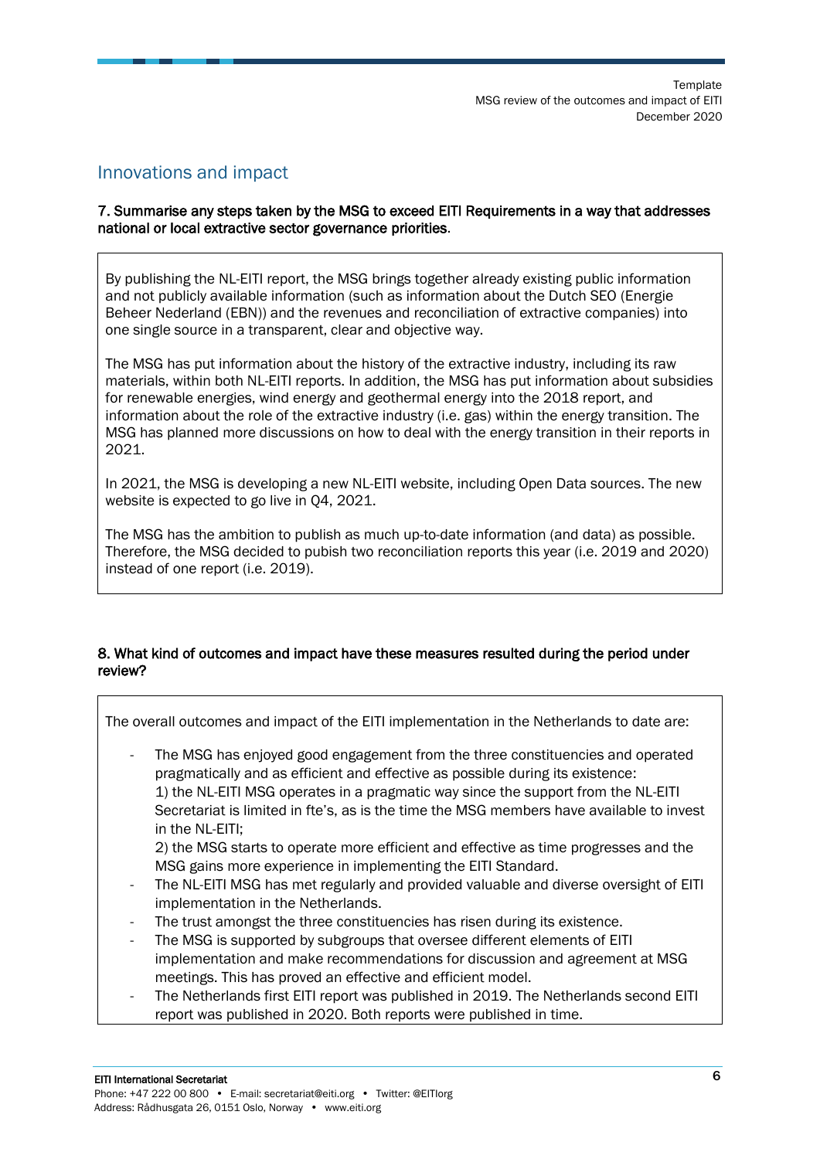### <span id="page-5-0"></span>Innovations and impact

#### 7. Summarise any steps taken by the MSG to exceed EITI Requirements in a way that addresses national or local extractive sector governance priorities.

By publishing the NL-EITI report, the MSG brings together already existing public information and not publicly available information (such as information about the Dutch SEO (Energie Beheer Nederland (EBN)) and the revenues and reconciliation of extractive companies) into one single source in a transparent, clear and objective way.

The MSG has put information about the history of the extractive industry, including its raw materials, within both NL-EITI reports. In addition, the MSG has put information about subsidies for renewable energies, wind energy and geothermal energy into the 2018 report, and information about the role of the extractive industry (i.e. gas) within the energy transition. The MSG has planned more discussions on how to deal with the energy transition in their reports in 2021.

In 2021, the MSG is developing a new NL-EITI website, including Open Data sources. The new website is expected to go live in Q4, 2021.

The MSG has the ambition to publish as much up-to-date information (and data) as possible. Therefore, the MSG decided to pubish two reconciliation reports this year (i.e. 2019 and 2020) instead of one report (i.e. 2019).

#### 8. What kind of outcomes and impact have these measures resulted during the period under review?

The overall outcomes and impact of the EITI implementation in the Netherlands to date are:

The MSG has enjoyed good engagement from the three constituencies and operated pragmatically and as efficient and effective as possible during its existence: 1) the NL-EITI MSG operates in a pragmatic way since the support from the NL-EITI Secretariat is limited in fte's, as is the time the MSG members have available to invest in the NL-EITI;

2) the MSG starts to operate more efficient and effective as time progresses and the MSG gains more experience in implementing the EITI Standard.

- The NL-EITI MSG has met regularly and provided valuable and diverse oversight of EITI implementation in the Netherlands.
- The trust amongst the three constituencies has risen during its existence.
- The MSG is supported by subgroups that oversee different elements of EITI implementation and make recommendations for discussion and agreement at MSG meetings. This has proved an effective and efficient model.
- The Netherlands first EITI report was published in 2019. The Netherlands second EITI report was published in 2020. Both reports were published in time.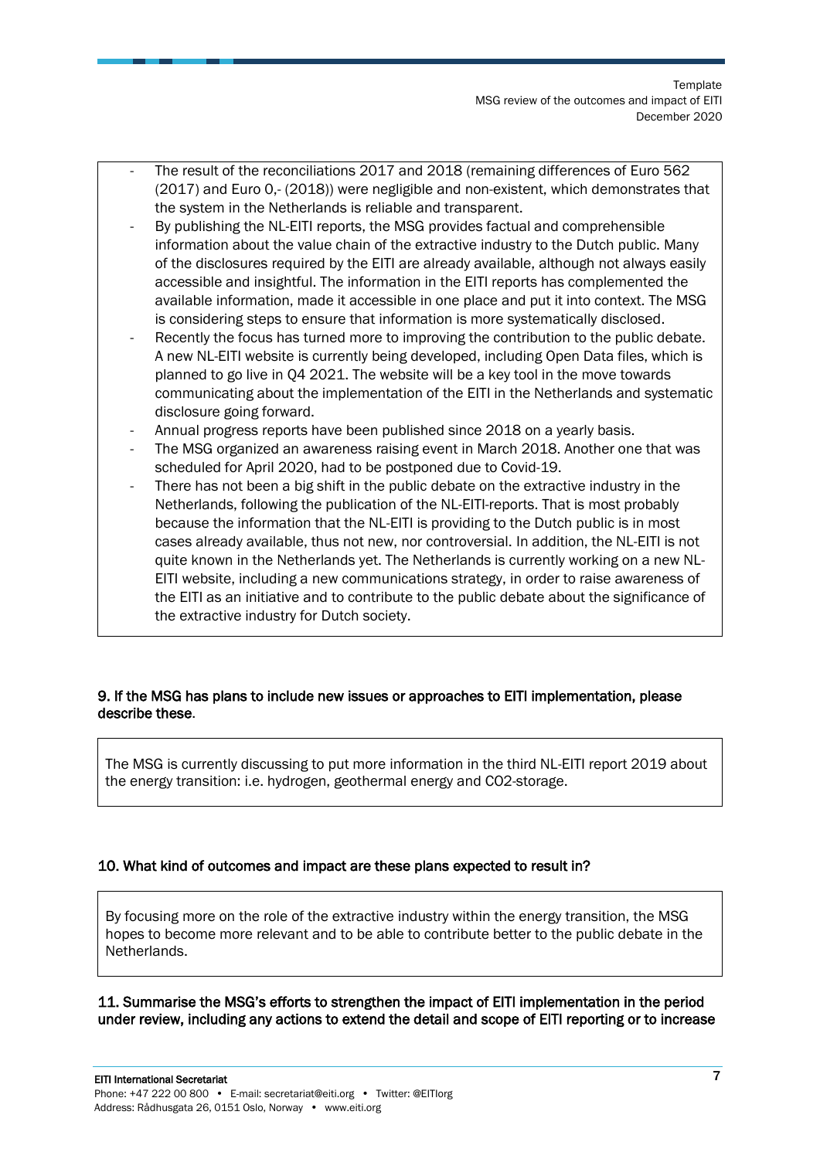- The result of the reconciliations 2017 and 2018 (remaining differences of Euro 562 (2017) and Euro 0,- (2018)) were negligible and non-existent, which demonstrates that the system in the Netherlands is reliable and transparent.
- By publishing the NL-EITI reports, the MSG provides factual and comprehensible information about the value chain of the extractive industry to the Dutch public. Many of the disclosures required by the EITI are already available, although not always easily accessible and insightful. The information in the EITI reports has complemented the available information, made it accessible in one place and put it into context. The MSG is considering steps to ensure that information is more systematically disclosed.
- Recently the focus has turned more to improving the contribution to the public debate. A new NL-EITI website is currently being developed, including Open Data files, which is planned to go live in Q4 2021. The website will be a key tool in the move towards communicating about the implementation of the EITI in the Netherlands and systematic disclosure going forward.
- Annual progress reports have been published since 2018 on a yearly basis.
- The MSG organized an awareness raising event in March 2018. Another one that was scheduled for April 2020, had to be postponed due to Covid-19.
- There has not been a big shift in the public debate on the extractive industry in the Netherlands, following the publication of the NL-EITI-reports. That is most probably because the information that the NL-EITI is providing to the Dutch public is in most cases already available, thus not new, nor controversial. In addition, the NL-EITI is not quite known in the Netherlands yet. The Netherlands is currently working on a new NL-EITI website, including a new communications strategy, in order to raise awareness of the EITI as an initiative and to contribute to the public debate about the significance of the extractive industry for Dutch society.

#### 9. If the MSG has plans to include new issues or approaches to EITI implementation, please describe these.

The MSG is currently discussing to put more information in the third NL-EITI report 2019 about the energy transition: i.e. hydrogen, geothermal energy and CO2-storage.

#### 10. What kind of outcomes and impact are these plans expected to result in?

By focusing more on the role of the extractive industry within the energy transition, the MSG hopes to become more relevant and to be able to contribute better to the public debate in the Netherlands.

11. Summarise the MSG's efforts to strengthen the impact of EITI implementation in the period under review, including any actions to extend the detail and scope of EITI reporting or to increase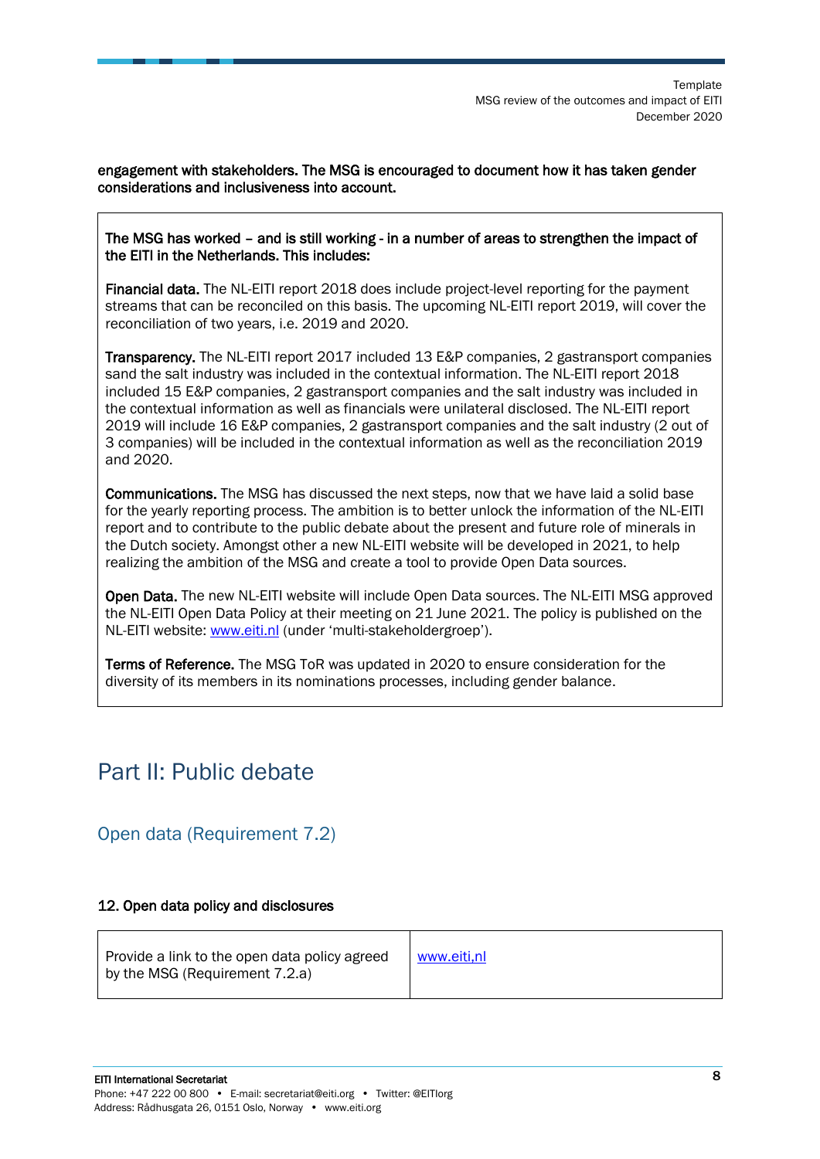engagement with stakeholders. The MSG is encouraged to document how it has taken gender considerations and inclusiveness into account.

#### The MSG has worked – and is still working - in a number of areas to strengthen the impact of the EITI in the Netherlands. This includes:

Financial data. The NL-EITI report 2018 does include project-level reporting for the payment streams that can be reconciled on this basis. The upcoming NL-EITI report 2019, will cover the reconciliation of two years, i.e. 2019 and 2020.

Transparency. The NL-EITI report 2017 included 13 E&P companies, 2 gastransport companies sand the salt industry was included in the contextual information. The NL-EITI report 2018 included 15 E&P companies, 2 gastransport companies and the salt industry was included in the contextual information as well as financials were unilateral disclosed. The NL-EITI report 2019 will include 16 E&P companies, 2 gastransport companies and the salt industry (2 out of 3 companies) will be included in the contextual information as well as the reconciliation 2019 and 2020.

Communications. The MSG has discussed the next steps, now that we have laid a solid base for the yearly reporting process. The ambition is to better unlock the information of the NL-EITI report and to contribute to the public debate about the present and future role of minerals in the Dutch society. Amongst other a new NL-EITI website will be developed in 2021, to help realizing the ambition of the MSG and create a tool to provide Open Data sources.

Open Data. The new NL-EITI website will include Open Data sources. The NL-EITI MSG approved the NL-EITI Open Data Policy at their meeting on 21 June 2021. The policy is published on the NL-EITI website[: www.eiti.nl](http://www.eiti.nl/) (under 'multi-stakeholdergroep').

Terms of Reference. The MSG ToR was updated in 2020 to ensure consideration for the diversity of its members in its nominations processes, including gender balance.

### <span id="page-7-0"></span>Part II: Public debate

### <span id="page-7-1"></span>Open data (Requirement 7.2)

#### 12. Open data policy and disclosures

| Provide a link to the open data policy agreed<br>by the MSG (Requirement 7.2.a) | www.eiti.nl |
|---------------------------------------------------------------------------------|-------------|
|                                                                                 |             |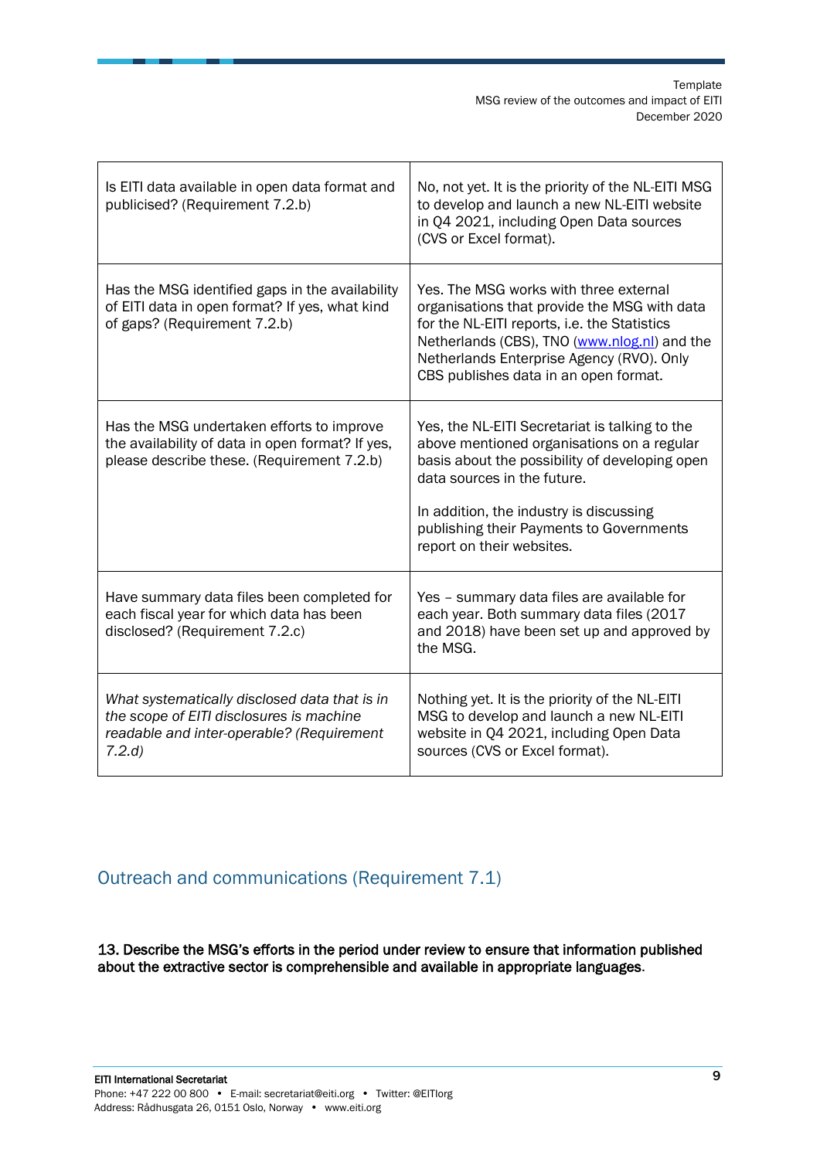| Is EITI data available in open data format and<br>publicised? (Requirement 7.2.b)                                                                | No, not yet. It is the priority of the NL-EITI MSG<br>to develop and launch a new NL-EITI website<br>in Q4 2021, including Open Data sources<br>(CVS or Excel format).                                                                                                                            |
|--------------------------------------------------------------------------------------------------------------------------------------------------|---------------------------------------------------------------------------------------------------------------------------------------------------------------------------------------------------------------------------------------------------------------------------------------------------|
| Has the MSG identified gaps in the availability<br>of EITI data in open format? If yes, what kind<br>of gaps? (Requirement 7.2.b)                | Yes. The MSG works with three external<br>organisations that provide the MSG with data<br>for the NL-EITI reports, i.e. the Statistics<br>Netherlands (CBS), TNO (www.nlog.nl) and the<br>Netherlands Enterprise Agency (RVO). Only<br>CBS publishes data in an open format.                      |
| Has the MSG undertaken efforts to improve<br>the availability of data in open format? If yes,<br>please describe these. (Requirement 7.2.b)      | Yes, the NL-EITI Secretariat is talking to the<br>above mentioned organisations on a regular<br>basis about the possibility of developing open<br>data sources in the future.<br>In addition, the industry is discussing<br>publishing their Payments to Governments<br>report on their websites. |
| Have summary data files been completed for<br>each fiscal year for which data has been<br>disclosed? (Requirement 7.2.c)                         | Yes - summary data files are available for<br>each year. Both summary data files (2017<br>and 2018) have been set up and approved by<br>the MSG.                                                                                                                                                  |
| What systematically disclosed data that is in<br>the scope of EITI disclosures is machine<br>readable and inter-operable? (Requirement<br>7.2.d) | Nothing yet. It is the priority of the NL-EITI<br>MSG to develop and launch a new NL-EITI<br>website in Q4 2021, including Open Data<br>sources (CVS or Excel format).                                                                                                                            |

<span id="page-8-0"></span>Outreach and communications (Requirement 7.1)

13. Describe the MSG's efforts in the period under review to ensure that information published about the extractive sector is comprehensible and available in appropriate languages.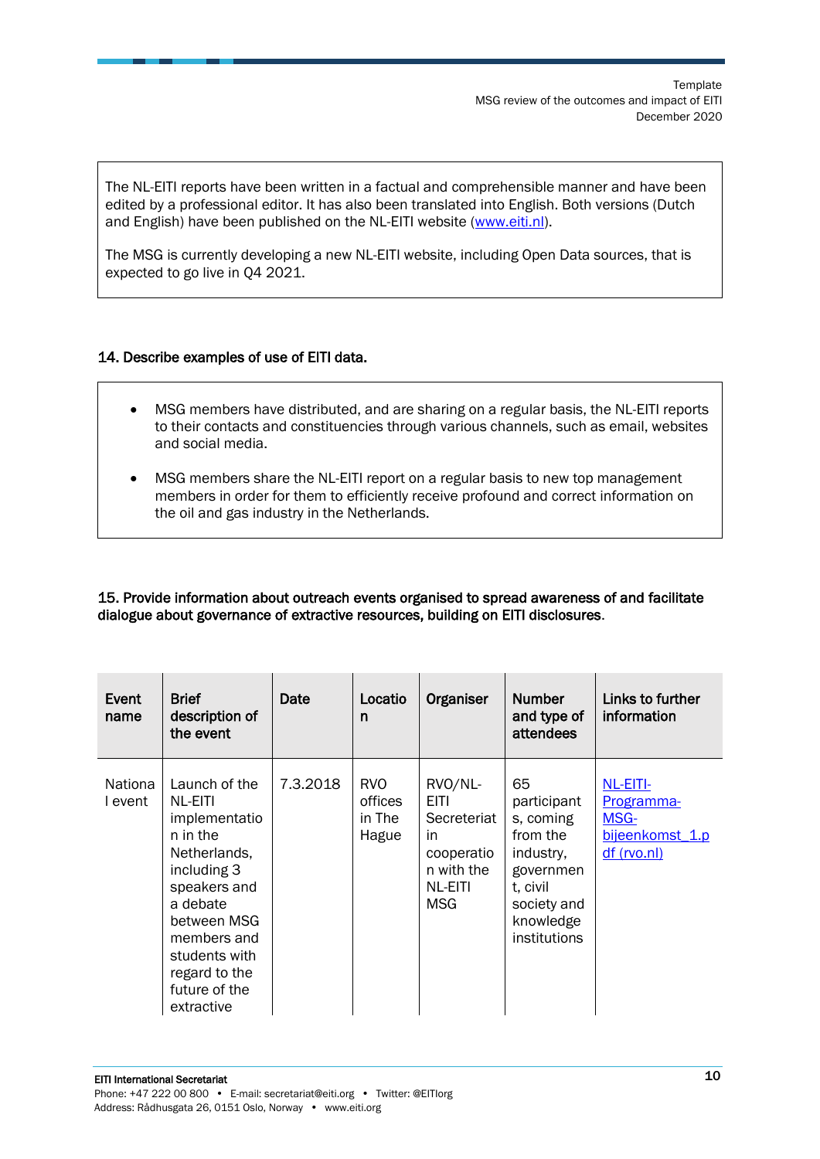The NL-EITI reports have been written in a factual and comprehensible manner and have been edited by a professional editor. It has also been translated into English. Both versions (Dutch and English) have been published on the NL-EITI website [\(www.eiti.nl\)](http://www.eiti.nl/).

The MSG is currently developing a new NL-EITI website, including Open Data sources, that is expected to go live in Q4 2021.

#### 14. Describe examples of use of EITI data.

- MSG members have distributed, and are sharing on a regular basis, the NL-EITI reports to their contacts and constituencies through various channels, such as email, websites and social media.
- MSG members share the NL-EITI report on a regular basis to new top management members in order for them to efficiently receive profound and correct information on the oil and gas industry in the Netherlands.

#### 15. Provide information about outreach events organised to spread awareness of and facilitate dialogue about governance of extractive resources, building on EITI disclosures.

| Event<br>name             | <b>Brief</b><br>description of<br>the event                                                                                                                                                                     | Date     | Locatio<br>n                             | Organiser                                                                                  | <b>Number</b><br>and type of<br>attendees                                                                                    | Links to further<br>information                                                |
|---------------------------|-----------------------------------------------------------------------------------------------------------------------------------------------------------------------------------------------------------------|----------|------------------------------------------|--------------------------------------------------------------------------------------------|------------------------------------------------------------------------------------------------------------------------------|--------------------------------------------------------------------------------|
| <b>Nationa</b><br>I event | Launch of the<br>NL-EITI<br>implementatio<br>n in the<br>Netherlands,<br>including 3<br>speakers and<br>a debate<br>between MSG<br>members and<br>students with<br>regard to the<br>future of the<br>extractive | 7.3.2018 | <b>RVO</b><br>offices<br>in The<br>Hague | RVO/NL-<br><b>EITI</b><br>Secreteriat<br>in.<br>cooperatio<br>n with the<br>NL-EITI<br>MSG | 65<br>participant<br>s, coming<br>from the<br>industry,<br>governmen<br>t, civil<br>society and<br>knowledge<br>institutions | NL-EITI-<br><b>Programma-</b><br><b>MSG-</b><br>bijeenkomst 1.p<br>df (rvo.nl) |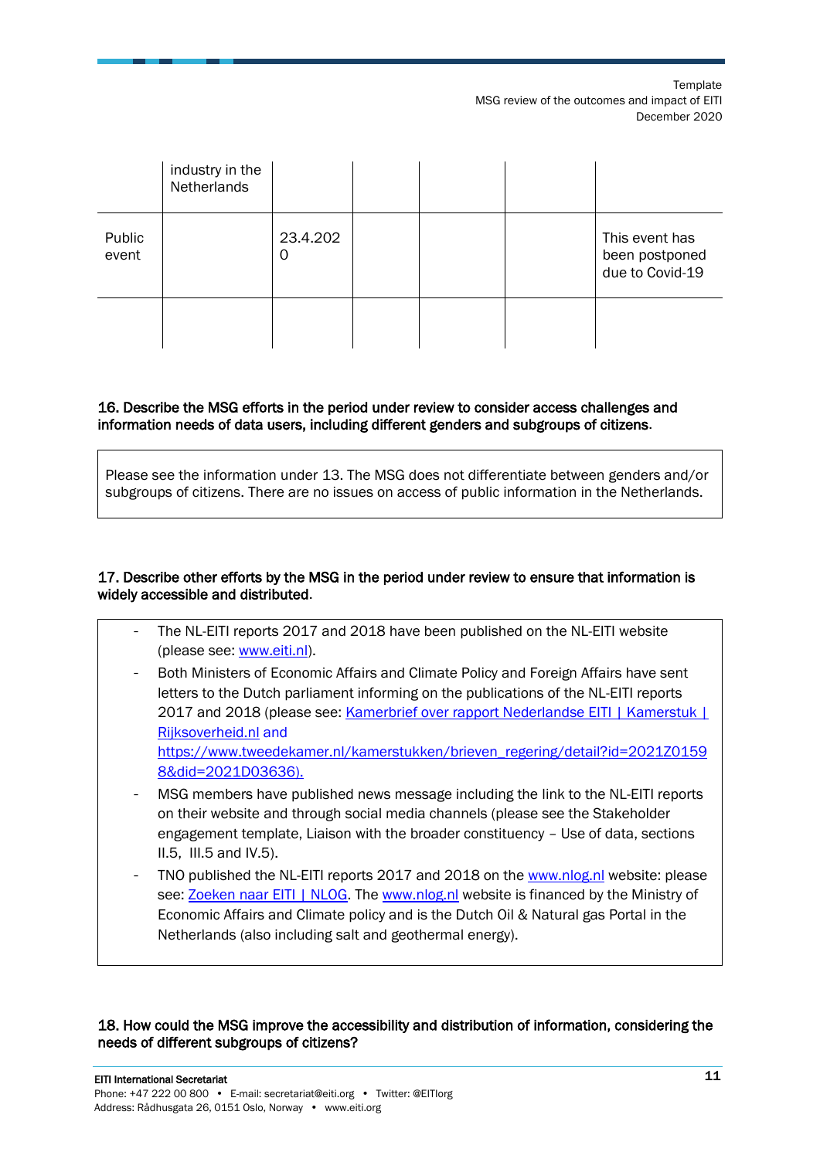**Template** MSG review of the outcomes and impact of EITI December 2020

|                 | industry in the<br>Netherlands |               |  |                                                     |
|-----------------|--------------------------------|---------------|--|-----------------------------------------------------|
| Public<br>event |                                | 23.4.202<br>0 |  | This event has<br>been postponed<br>due to Covid-19 |
|                 |                                |               |  |                                                     |

#### 16. Describe the MSG efforts in the period under review to consider access challenges and information needs of data users, including different genders and subgroups of citizens.

Please see the information under 13. The MSG does not differentiate between genders and/or subgroups of citizens. There are no issues on access of public information in the Netherlands.

#### 17. Describe other efforts by the MSG in the period under review to ensure that information is widely accessible and distributed.

- The NL-EITI reports 2017 and 2018 have been published on the NL-EITI website (please see: [www.eiti.nl\)](http://www.eiti.nl/).
- Both Ministers of Economic Affairs and Climate Policy and Foreign Affairs have sent letters to the Dutch parliament informing on the publications of the NL-EITI reports 2017 and 2018 (please see: Kamerbrief over rapport Nederlandse EITI | Kamerstuk | [Rijksoverheid.nl](https://www.rijksoverheid.nl/documenten/kamerstukken/2020/01/15/kamerbrief-over-rapport-nederlandse-eiti) and [https://www.tweedekamer.nl/kamerstukken/brieven\\_regering/detail?id=2021Z0159](https://www.tweedekamer.nl/kamerstukken/brieven_regering/detail?id=2021Z01598&did=2021D03636) [8&did=2021D03636\)](https://www.tweedekamer.nl/kamerstukken/brieven_regering/detail?id=2021Z01598&did=2021D03636).
- MSG members have published news message including the link to the NL-EITI reports on their website and through social media channels (please see the Stakeholder engagement template, Liaison with the broader constituency – Use of data, sections II.5, III.5 and IV.5).
- TNO published the NL-EITI reports 2017 and 2018 on the [www.nlog.nl](http://www.nlog.nl/) website: please see[: Zoeken naar EITI | NLOG.](https://www.nlog.nl/search/nlog?keys=EITI) The [www.nlog.nl](http://www.nlog.nl/) website is financed by the Ministry of Economic Affairs and Climate policy and is the Dutch Oil & Natural gas Portal in the Netherlands (also including salt and geothermal energy).

#### 18. How could the MSG improve the accessibility and distribution of information, considering the needs of different subgroups of citizens?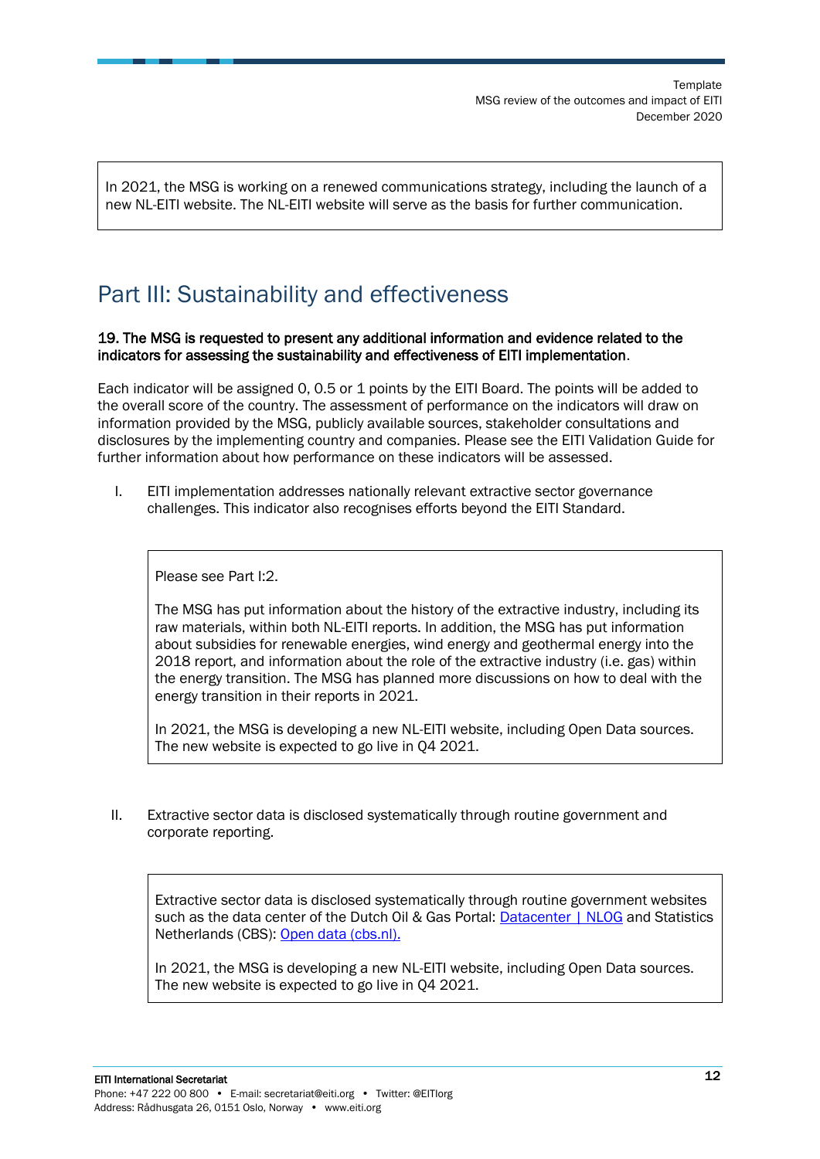In 2021, the MSG is working on a renewed communications strategy, including the launch of a new NL-EITI website. The NL-EITI website will serve as the basis for further communication.

## <span id="page-11-0"></span>Part III: Sustainability and effectiveness

#### 19. The MSG is requested to present any additional information and evidence related to the indicators for assessing the sustainability and effectiveness of EITI implementation.

Each indicator will be assigned 0, 0.5 or 1 points by the EITI Board. The points will be added to the overall score of the country. The assessment of performance on the indicators will draw on information provided by the MSG, publicly available sources, stakeholder consultations and disclosures by the implementing country and companies. Please see the EITI Validation Guide for further information about how performance on these indicators will be assessed.

I. EITI implementation addresses nationally relevant extractive sector governance challenges. This indicator also recognises efforts beyond the EITI Standard.

Please see Part I:2.

The MSG has put information about the history of the extractive industry, including its raw materials, within both NL-EITI reports. In addition, the MSG has put information about subsidies for renewable energies, wind energy and geothermal energy into the 2018 report, and information about the role of the extractive industry (i.e. gas) within the energy transition. The MSG has planned more discussions on how to deal with the energy transition in their reports in 2021.

In 2021, the MSG is developing a new NL-EITI website, including Open Data sources. The new website is expected to go live in Q4 2021.

II. Extractive sector data is disclosed systematically through routine government and corporate reporting.

Extractive sector data is disclosed systematically through routine government websites such as the data center of the Dutch Oil & Gas Portal: [Datacenter | NLOG](https://www.nlog.nl/datacenter/) and Statistics Netherlands (CBS): [Open data \(cbs.nl\).](https://www.cbs.nl/nl-nl/onze-diensten/open-data)

In 2021, the MSG is developing a new NL-EITI website, including Open Data sources. The new website is expected to go live in Q4 2021.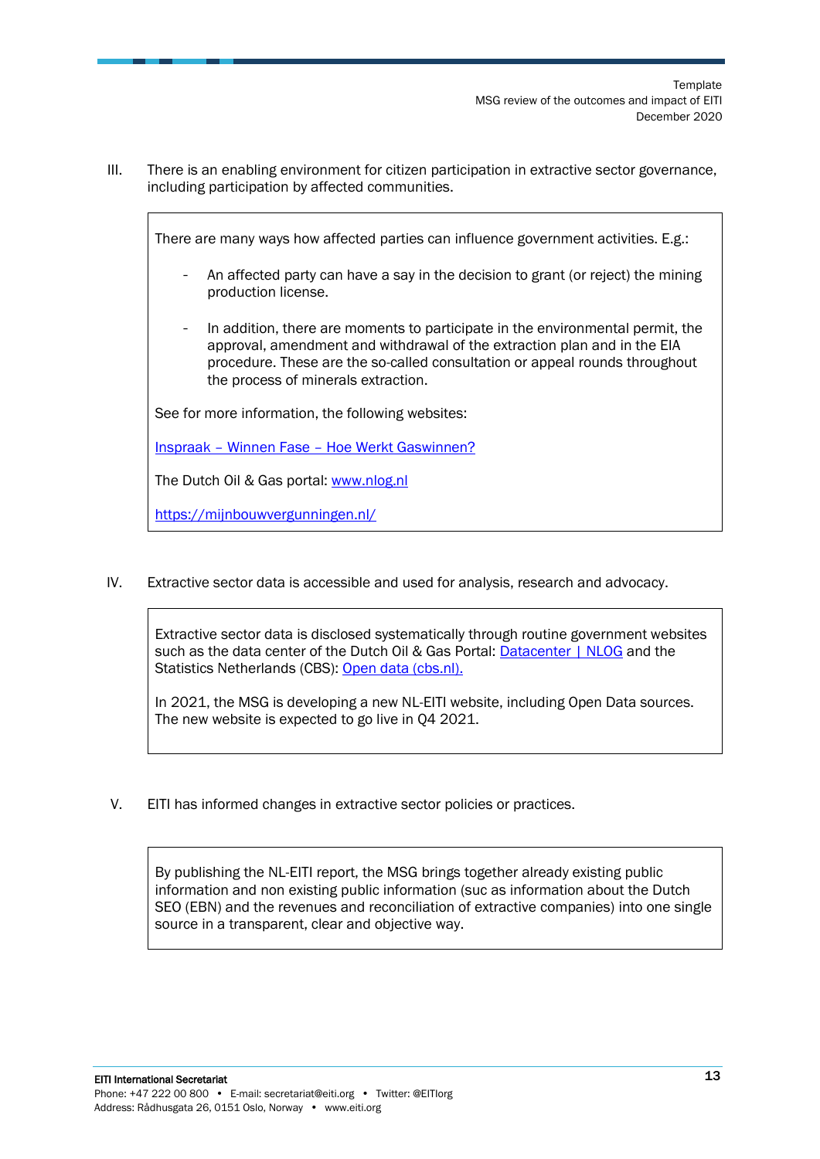III. There is an enabling environment for citizen participation in extractive sector governance, including participation by affected communities.

There are many ways how affected parties can influence government activities. E.g.:

- An affected party can have a say in the decision to grant (or reject) the mining production license.
- In addition, there are moments to participate in the environmental permit, the approval, amendment and withdrawal of the extraction plan and in the EIA procedure. These are the so-called consultation or appeal rounds throughout the process of minerals extraction.

See for more information, the following websites:

Inspraak – Winnen Fase – [Hoe Werkt Gaswinnen?](https://hoewerktgaswinnen.nl/winnen/inspraak)

The Dutch Oil & Gas portal: [www.nlog.nl](http://www.nlog.nl/)

<https://mijnbouwvergunningen.nl/>

IV. Extractive sector data is accessible and used for analysis, research and advocacy.

Extractive sector data is disclosed systematically through routine government websites such as the data center of the Dutch Oil & Gas Portal: [Datacenter | NLOG](https://www.nlog.nl/datacenter/) and the Statistics Netherlands (CBS): [Open data \(cbs.nl\).](https://www.cbs.nl/nl-nl/onze-diensten/open-data)

In 2021, the MSG is developing a new NL-EITI website, including Open Data sources. The new website is expected to go live in Q4 2021.

V. EITI has informed changes in extractive sector policies or practices.

By publishing the NL-EITI report, the MSG brings together already existing public information and non existing public information (suc as information about the Dutch SEO (EBN) and the revenues and reconciliation of extractive companies) into one single source in a transparent, clear and objective way.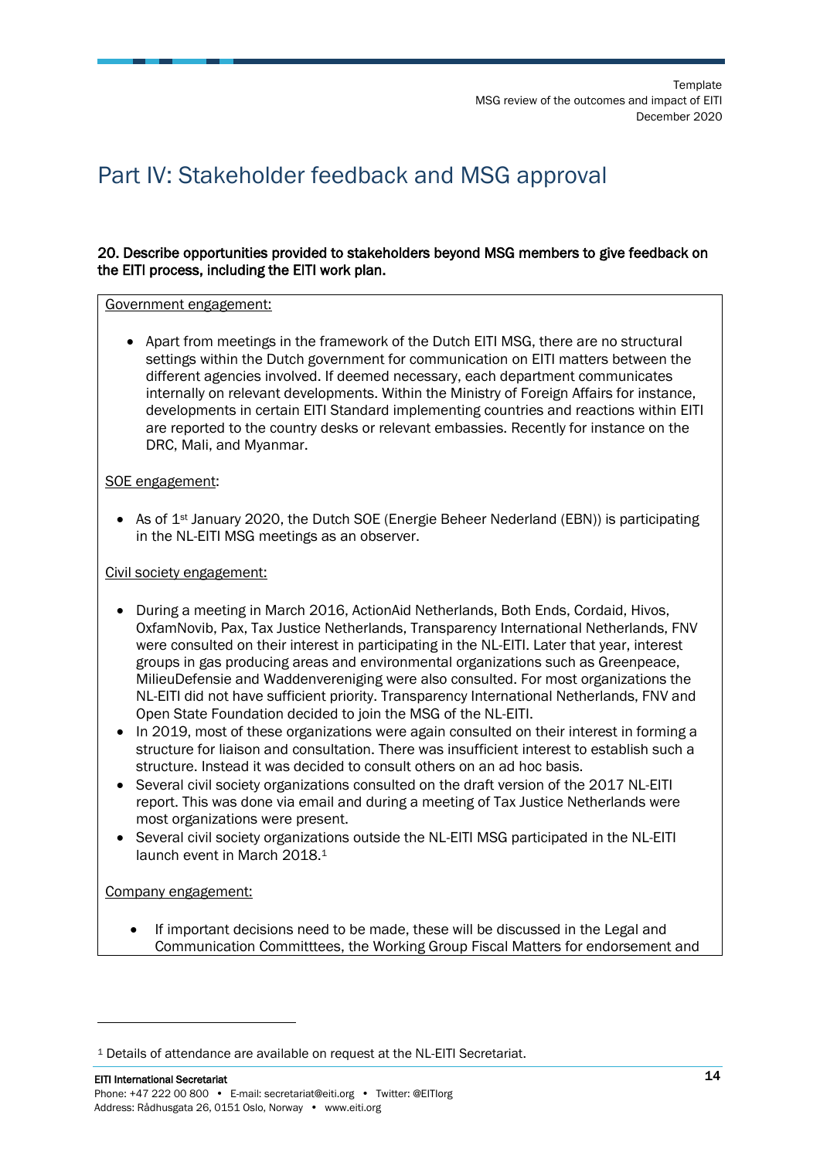## <span id="page-13-0"></span>Part IV: Stakeholder feedback and MSG approval

#### 20. Describe opportunities provided to stakeholders beyond MSG members to give feedback on the EITI process, including the EITI work plan.

#### Government engagement:

• Apart from meetings in the framework of the Dutch EITI MSG, there are no structural settings within the Dutch government for communication on EITI matters between the different agencies involved. If deemed necessary, each department communicates internally on relevant developments. Within the Ministry of Foreign Affairs for instance, developments in certain EITI Standard implementing countries and reactions within EITI are reported to the country desks or relevant embassies. Recently for instance on the DRC, Mali, and Myanmar.

#### SOE engagement:

• As of 1<sup>st</sup> January 2020, the Dutch SOE (Energie Beheer Nederland (EBN)) is participating in the NL-EITI MSG meetings as an observer.

#### Civil society engagement:

- During a meeting in March 2016, ActionAid Netherlands, Both Ends, Cordaid, Hivos, OxfamNovib, Pax, Tax Justice Netherlands, Transparency International Netherlands, FNV were consulted on their interest in participating in the NL-EITI. Later that year, interest groups in gas producing areas and environmental organizations such as Greenpeace, MilieuDefensie and Waddenvereniging were also consulted. For most organizations the NL-EITI did not have sufficient priority. Transparency International Netherlands, FNV and Open State Foundation decided to join the MSG of the NL-EITI.
- In 2019, most of these organizations were again consulted on their interest in forming a structure for liaison and consultation. There was insufficient interest to establish such a structure. Instead it was decided to consult others on an ad hoc basis.
- Several civil society organizations consulted on the draft version of the 2017 NL-EITI report. This was done via email and during a meeting of Tax Justice Netherlands were most organizations were present.
- Several civil society organizations outside the NL-EITI MSG participated in the NL-EITI launch event in March 2018.<sup>1</sup>

#### Company engagement:

• If important decisions need to be made, these will be discussed in the Legal and Communication Committtees, the Working Group Fiscal Matters for endorsement and

<sup>&</sup>lt;sup>1</sup> Details of attendance are available on request at the NL-EITI Secretariat.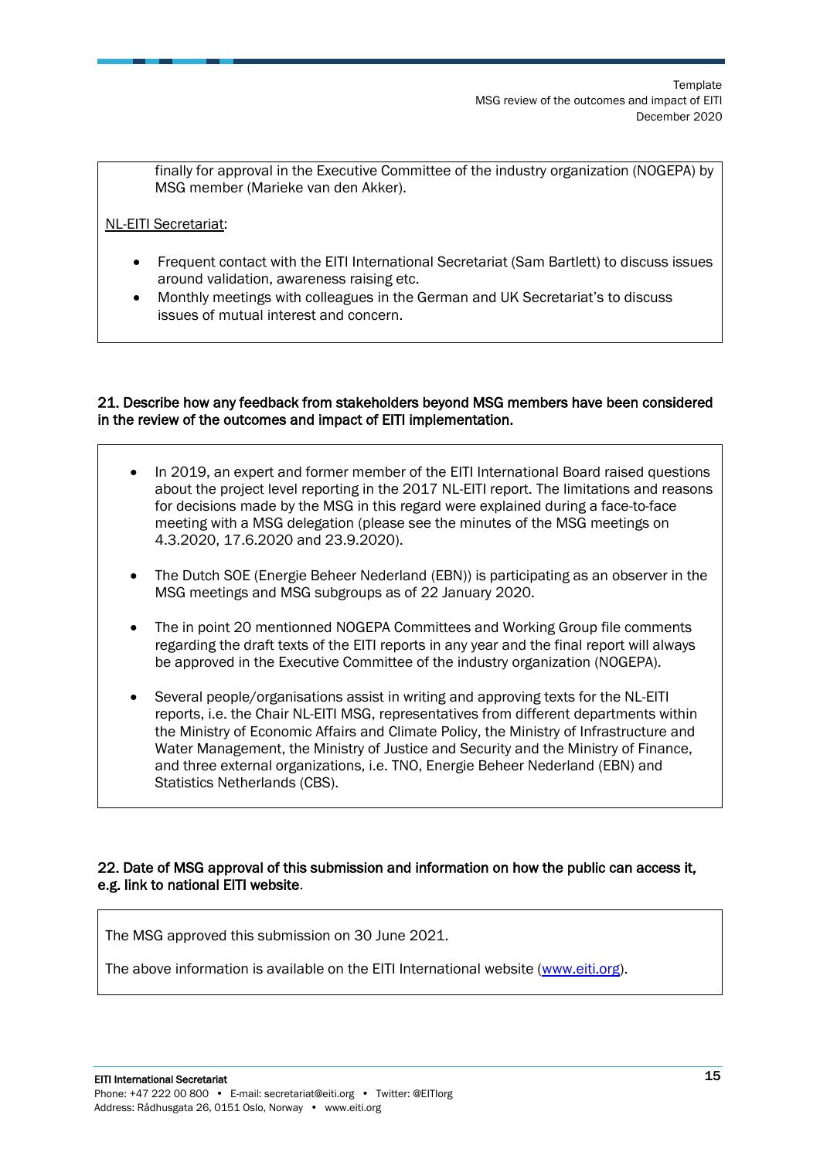finally for approval in the Executive Committee of the industry organization (NOGEPA) by MSG member (Marieke van den Akker).

#### NL-EITI Secretariat:

- Frequent contact with the EITI International Secretariat (Sam Bartlett) to discuss issues around validation, awareness raising etc.
- Monthly meetings with colleagues in the German and UK Secretariat's to discuss issues of mutual interest and concern.

#### 21. Describe how any feedback from stakeholders beyond MSG members have been considered in the review of the outcomes and impact of EITI implementation.

- In 2019, an expert and former member of the EITI International Board raised questions about the project level reporting in the 2017 NL-EITI report. The limitations and reasons for decisions made by the MSG in this regard were explained during a face-to-face meeting with a MSG delegation (please see the minutes of the MSG meetings on 4.3.2020, 17.6.2020 and 23.9.2020).
- The Dutch SOE (Energie Beheer Nederland (EBN)) is participating as an observer in the MSG meetings and MSG subgroups as of 22 January 2020.
- The in point 20 mentionned NOGEPA Committees and Working Group file comments regarding the draft texts of the EITI reports in any year and the final report will always be approved in the Executive Committee of the industry organization (NOGEPA).
- Several people/organisations assist in writing and approving texts for the NL-EITI reports, i.e. the Chair NL-EITI MSG, representatives from different departments within the Ministry of Economic Affairs and Climate Policy, the Ministry of Infrastructure and Water Management, the Ministry of Justice and Security and the Ministry of Finance, and three external organizations, i.e. TNO, Energie Beheer Nederland (EBN) and Statistics Netherlands (CBS).

#### 22. Date of MSG approval of this submission and information on how the public can access it, e.g. link to national EITI website.

The MSG approved this submission on 30 June 2021.

The above information is available on the EITI International website [\(www.eiti.org\)](http://www.eiti.org/).